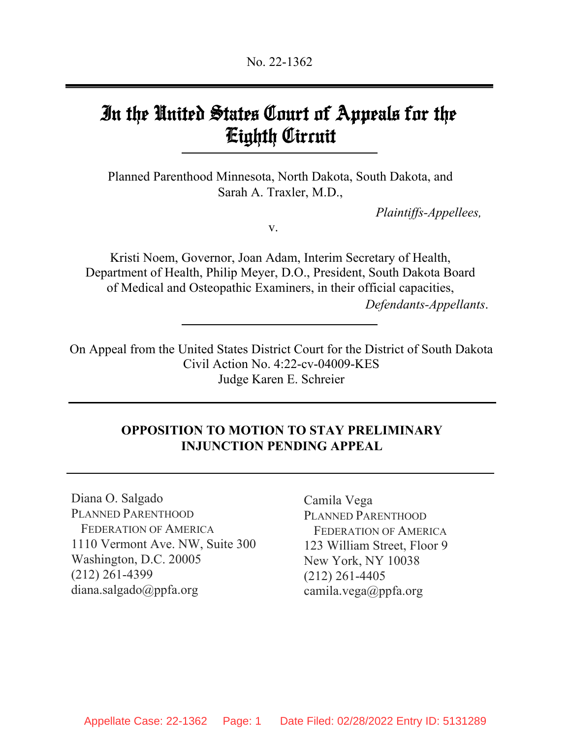# In the United States Court of Appeals for the Eighth Circuit

Planned Parenthood Minnesota, North Dakota, South Dakota, and Sarah A. Traxler, M.D.,

*Plaintiffs-Appellees,*

v.

Kristi Noem, Governor, Joan Adam, Interim Secretary of Health, Department of Health, Philip Meyer, D.O., President, South Dakota Board of Medical and Osteopathic Examiners, in their official capacities, *Defendants-Appellants*.

On Appeal from the United States District Court for the District of South Dakota Civil Action No. 4:22-cv-04009-KES Judge Karen E. Schreier

# **OPPOSITION TO MOTION TO STAY PRELIMINARY INJUNCTION PENDING APPEAL**

Diana O. Salgado PLANNED PARENTHOOD FEDERATION OF AMERICA 1110 Vermont Ave. NW, Suite 300 Washington, D.C. 20005 (212) 261-4399 diana.salgado@ppfa.org

Camila Vega PLANNED PARENTHOOD FEDERATION OF AMERICA 123 William Street, Floor 9 New York, NY 10038 (212) 261-4405 camila.vega@ppfa.org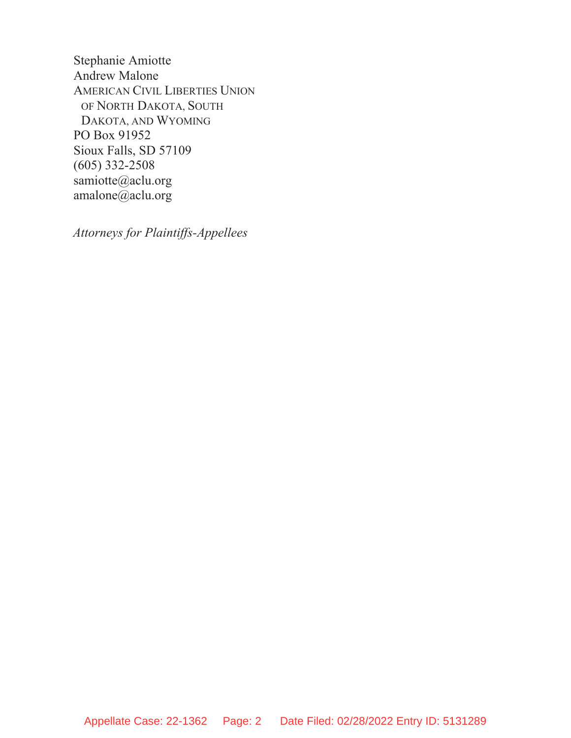Stephanie Amiotte Andrew Malone AMERICAN CIVIL LIBERTIES UNION OF NORTH DAKOTA, SOUTH DAKOTA, AND WYOMING PO Box 91952 Sioux Falls, SD 57109 (605) 332-2508 samiotte@aclu.org amalone@aclu.org

*Attorneys for Plaintiffs-Appellees*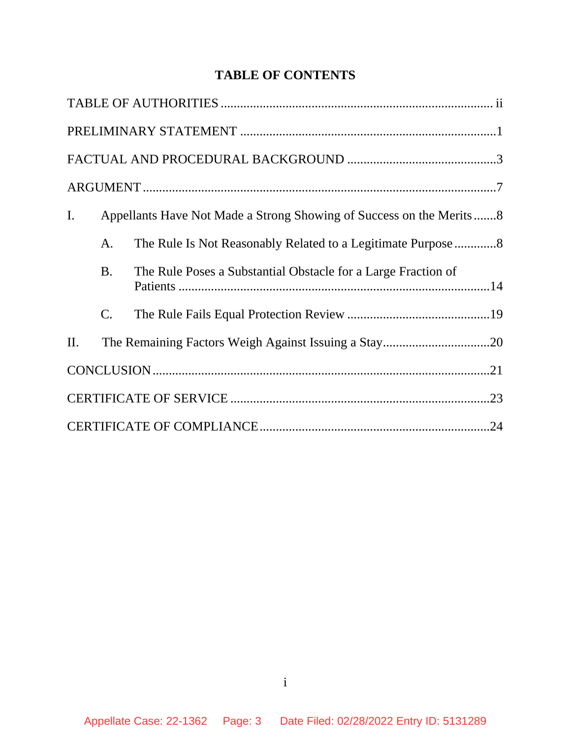# **TABLE OF CONTENTS**

| I. |                 | Appellants Have Not Made a Strong Showing of Success on the Merits8 |  |  |
|----|-----------------|---------------------------------------------------------------------|--|--|
|    | A.              |                                                                     |  |  |
|    | <b>B.</b>       | The Rule Poses a Substantial Obstacle for a Large Fraction of       |  |  |
|    | $\mathcal{C}$ . |                                                                     |  |  |
| П. |                 |                                                                     |  |  |
|    |                 |                                                                     |  |  |
|    |                 |                                                                     |  |  |
|    |                 |                                                                     |  |  |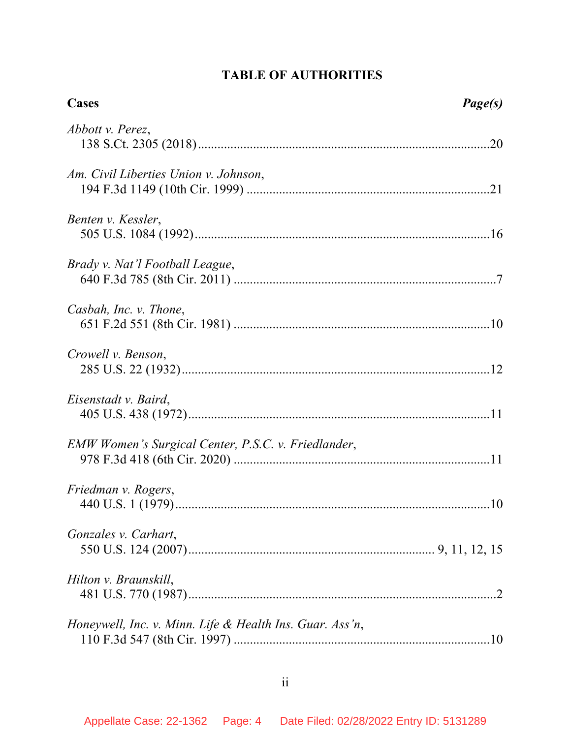# **TABLE OF AUTHORITIES**

| <b>Cases</b>                                             | Page(s) |
|----------------------------------------------------------|---------|
| Abbott v. Perez,                                         |         |
| Am. Civil Liberties Union v. Johnson,                    |         |
| Benten v. Kessler,                                       |         |
| Brady v. Nat'l Football League,                          |         |
| Casbah, Inc. v. Thone,                                   |         |
| Crowell v. Benson,                                       |         |
| Eisenstadt v. Baird,                                     |         |
| EMW Women's Surgical Center, P.S.C. v. Friedlander,      |         |
| Friedman v. Rogers,                                      |         |
| Gonzales v. Carhart,                                     |         |
| Hilton v. Braunskill,                                    |         |
| Honeywell, Inc. v. Minn. Life & Health Ins. Guar. Ass'n, |         |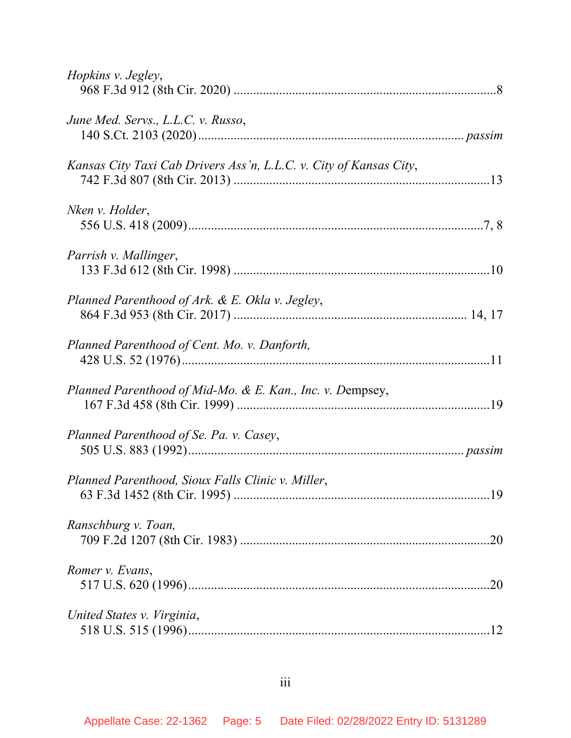| Hopkins v. Jegley,                                                 |  |
|--------------------------------------------------------------------|--|
| June Med. Servs., L.L.C. v. Russo,                                 |  |
| Kansas City Taxi Cab Drivers Ass'n, L.L.C. v. City of Kansas City, |  |
| Nken v. Holder,                                                    |  |
| Parrish v. Mallinger,                                              |  |
| Planned Parenthood of Ark. & E. Okla v. Jegley,                    |  |
| Planned Parenthood of Cent. Mo. v. Danforth,                       |  |
| Planned Parenthood of Mid-Mo. & E. Kan., Inc. v. Dempsey,          |  |
| Planned Parenthood of Se. Pa. v. Casey,                            |  |
| Planned Parenthood, Sioux Falls Clinic v. Miller,                  |  |
| Ranschburg v. Toan,                                                |  |
| Romer v. Evans,                                                    |  |
| United States v. Virginia,                                         |  |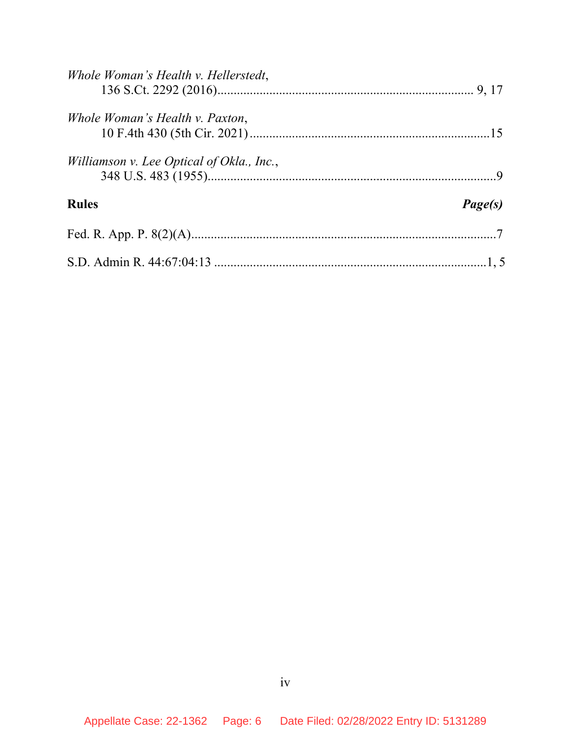| Whole Woman's Health v. Hellerstedt,      |         |
|-------------------------------------------|---------|
| Whole Woman's Health v. Paxton,           |         |
| Williamson v. Lee Optical of Okla., Inc., |         |
| <b>Rules</b>                              | Page(s) |
|                                           |         |
|                                           |         |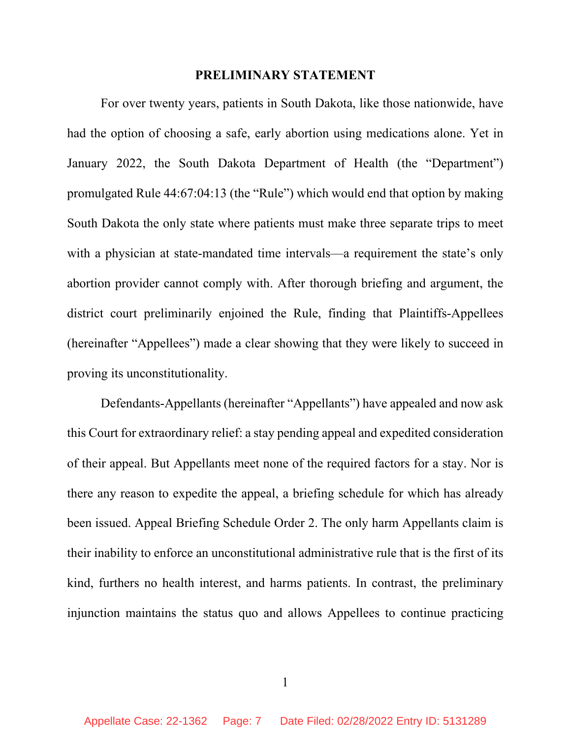#### **PRELIMINARY STATEMENT**

For over twenty years, patients in South Dakota, like those nationwide, have had the option of choosing a safe, early abortion using medications alone. Yet in January 2022, the South Dakota Department of Health (the "Department") promulgated Rule 44:67:04:13 (the "Rule") which would end that option by making South Dakota the only state where patients must make three separate trips to meet with a physician at state-mandated time intervals—a requirement the state's only abortion provider cannot comply with. After thorough briefing and argument, the district court preliminarily enjoined the Rule, finding that Plaintiffs-Appellees (hereinafter "Appellees") made a clear showing that they were likely to succeed in proving its unconstitutionality.

Defendants-Appellants (hereinafter "Appellants") have appealed and now ask this Court for extraordinary relief: a stay pending appeal and expedited consideration of their appeal. But Appellants meet none of the required factors for a stay. Nor is there any reason to expedite the appeal, a briefing schedule for which has already been issued. Appeal Briefing Schedule Order 2. The only harm Appellants claim is their inability to enforce an unconstitutional administrative rule that is the first of its kind, furthers no health interest, and harms patients. In contrast, the preliminary injunction maintains the status quo and allows Appellees to continue practicing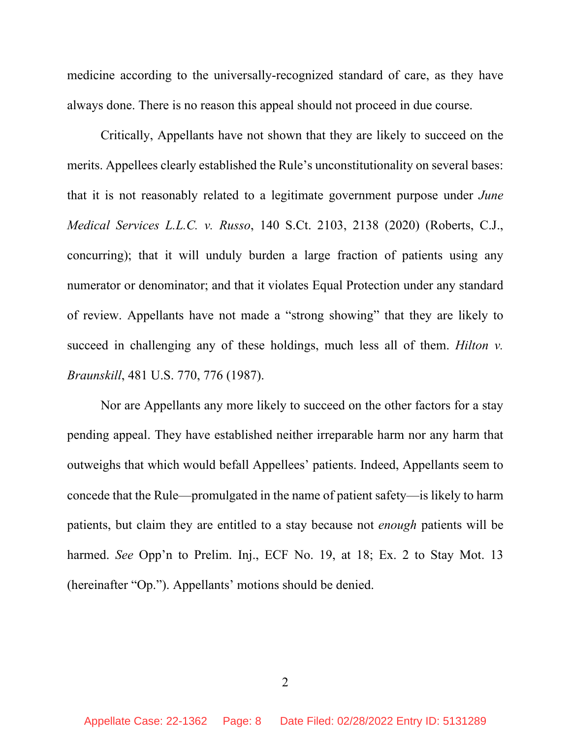medicine according to the universally-recognized standard of care, as they have always done. There is no reason this appeal should not proceed in due course.

Critically, Appellants have not shown that they are likely to succeed on the merits. Appellees clearly established the Rule's unconstitutionality on several bases: that it is not reasonably related to a legitimate government purpose under *June Medical Services L.L.C. v. Russo*, 140 S.Ct. 2103, 2138 (2020) (Roberts, C.J., concurring); that it will unduly burden a large fraction of patients using any numerator or denominator; and that it violates Equal Protection under any standard of review. Appellants have not made a "strong showing" that they are likely to succeed in challenging any of these holdings, much less all of them. *Hilton v. Braunskill*, 481 U.S. 770, 776 (1987).

Nor are Appellants any more likely to succeed on the other factors for a stay pending appeal. They have established neither irreparable harm nor any harm that outweighs that which would befall Appellees' patients. Indeed, Appellants seem to concede that the Rule—promulgated in the name of patient safety—is likely to harm patients, but claim they are entitled to a stay because not *enough* patients will be harmed. *See* Opp'n to Prelim. Inj., ECF No. 19, at 18; Ex. 2 to Stay Mot. 13 (hereinafter "Op."). Appellants' motions should be denied.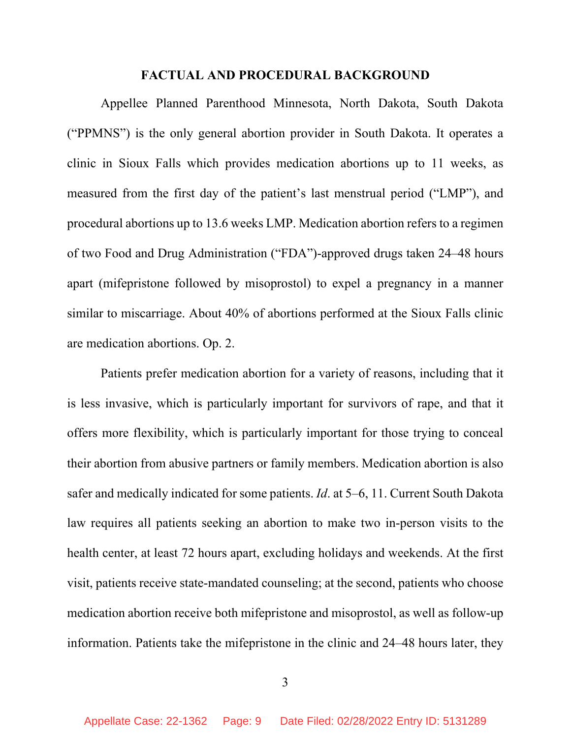#### **FACTUAL AND PROCEDURAL BACKGROUND**

Appellee Planned Parenthood Minnesota, North Dakota, South Dakota ("PPMNS") is the only general abortion provider in South Dakota. It operates a clinic in Sioux Falls which provides medication abortions up to 11 weeks, as measured from the first day of the patient's last menstrual period ("LMP"), and procedural abortions up to 13.6 weeks LMP. Medication abortion refers to a regimen of two Food and Drug Administration ("FDA")-approved drugs taken 24–48 hours apart (mifepristone followed by misoprostol) to expel a pregnancy in a manner similar to miscarriage. About 40% of abortions performed at the Sioux Falls clinic are medication abortions. Op. 2.

Patients prefer medication abortion for a variety of reasons, including that it is less invasive, which is particularly important for survivors of rape, and that it offers more flexibility, which is particularly important for those trying to conceal their abortion from abusive partners or family members. Medication abortion is also safer and medically indicated for some patients. *Id*. at 5–6, 11. Current South Dakota law requires all patients seeking an abortion to make two in-person visits to the health center, at least 72 hours apart, excluding holidays and weekends. At the first visit, patients receive state-mandated counseling; at the second, patients who choose medication abortion receive both mifepristone and misoprostol, as well as follow-up information. Patients take the mifepristone in the clinic and 24–48 hours later, they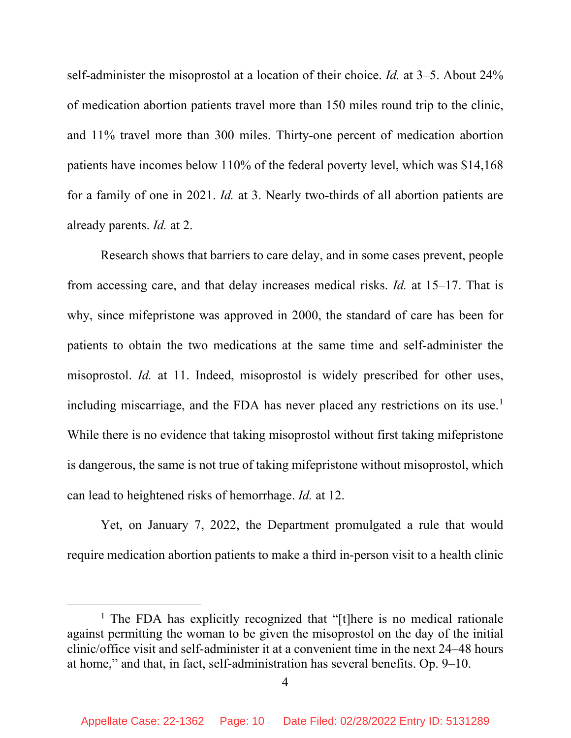self-administer the misoprostol at a location of their choice. *Id.* at 3–5. About 24% of medication abortion patients travel more than 150 miles round trip to the clinic, and 11% travel more than 300 miles. Thirty-one percent of medication abortion patients have incomes below 110% of the federal poverty level, which was \$14,168 for a family of one in 2021. *Id.* at 3. Nearly two-thirds of all abortion patients are already parents. *Id.* at 2.

Research shows that barriers to care delay, and in some cases prevent, people from accessing care, and that delay increases medical risks. *Id.* at 15–17. That is why, since mifepristone was approved in 2000, the standard of care has been for patients to obtain the two medications at the same time and self-administer the misoprostol. *Id.* at 11. Indeed, misoprostol is widely prescribed for other uses, including miscarriage, and the FDA has never placed any restrictions on its use.<sup>[1](#page-9-0)</sup> While there is no evidence that taking misoprostol without first taking mifepristone is dangerous, the same is not true of taking mifepristone without misoprostol, which can lead to heightened risks of hemorrhage. *Id.* at 12.

Yet, on January 7, 2022, the Department promulgated a rule that would require medication abortion patients to make a third in-person visit to a health clinic

<span id="page-9-0"></span><sup>&</sup>lt;sup>1</sup> The FDA has explicitly recognized that "[t]here is no medical rationale against permitting the woman to be given the misoprostol on the day of the initial clinic/office visit and self-administer it at a convenient time in the next 24–48 hours at home," and that, in fact, self-administration has several benefits. Op. 9–10.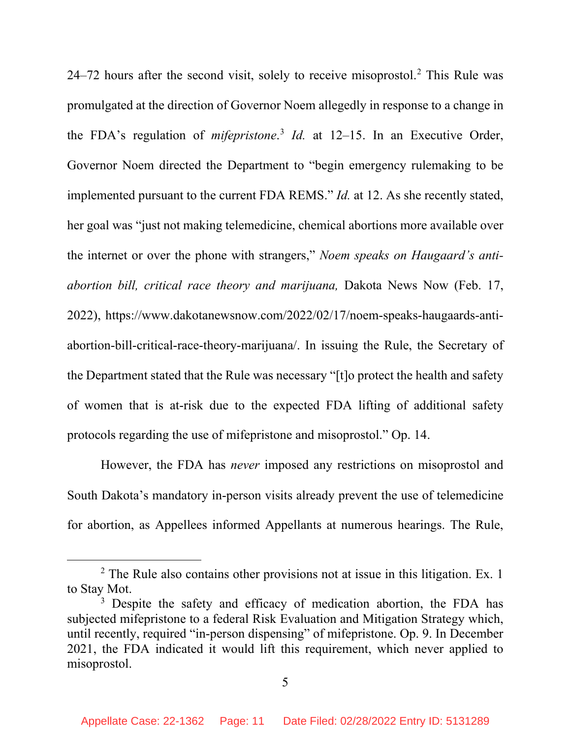[2](#page-10-0)4–72 hours after the second visit, solely to receive misoprostol.<sup>2</sup> This Rule was promulgated at the direction of Governor Noem allegedly in response to a change in the FDA's regulation of *mifepristone*. [3](#page-10-1) *Id.* at 12–15. In an Executive Order, Governor Noem directed the Department to "begin emergency rulemaking to be implemented pursuant to the current FDA REMS." *Id.* at 12. As she recently stated, her goal was "just not making telemedicine, chemical abortions more available over the internet or over the phone with strangers," *Noem speaks on Haugaard's antiabortion bill, critical race theory and marijuana,* Dakota News Now (Feb. 17, 2022), https://www.dakotanewsnow.com/2022/02/17/noem-speaks-haugaards-antiabortion-bill-critical-race-theory-marijuana/. In issuing the Rule, the Secretary of the Department stated that the Rule was necessary "[t]o protect the health and safety of women that is at-risk due to the expected FDA lifting of additional safety protocols regarding the use of mifepristone and misoprostol." Op. 14.

However, the FDA has *never* imposed any restrictions on misoprostol and South Dakota's mandatory in-person visits already prevent the use of telemedicine for abortion, as Appellees informed Appellants at numerous hearings. The Rule,

<span id="page-10-0"></span><sup>&</sup>lt;sup>2</sup> The Rule also contains other provisions not at issue in this litigation. Ex. 1 to Stay Mot.

<span id="page-10-1"></span><sup>&</sup>lt;sup>3</sup> Despite the safety and efficacy of medication abortion, the FDA has subjected mifepristone to a federal Risk Evaluation and Mitigation Strategy which, until recently, required "in-person dispensing" of mifepristone. Op. 9. In December 2021, the FDA indicated it would lift this requirement, which never applied to misoprostol.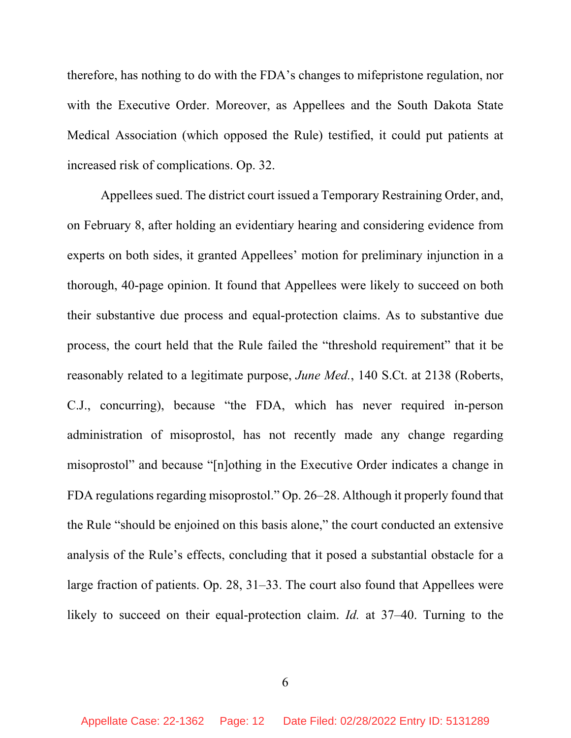therefore, has nothing to do with the FDA's changes to mifepristone regulation, nor with the Executive Order. Moreover, as Appellees and the South Dakota State Medical Association (which opposed the Rule) testified, it could put patients at increased risk of complications. Op. 32.

Appellees sued. The district court issued a Temporary Restraining Order, and, on February 8, after holding an evidentiary hearing and considering evidence from experts on both sides, it granted Appellees' motion for preliminary injunction in a thorough, 40-page opinion. It found that Appellees were likely to succeed on both their substantive due process and equal-protection claims. As to substantive due process, the court held that the Rule failed the "threshold requirement" that it be reasonably related to a legitimate purpose, *June Med.*, 140 S.Ct. at 2138 (Roberts, C.J., concurring), because "the FDA, which has never required in-person administration of misoprostol, has not recently made any change regarding misoprostol" and because "[n]othing in the Executive Order indicates a change in FDA regulations regarding misoprostol." Op. 26–28. Although it properly found that the Rule "should be enjoined on this basis alone," the court conducted an extensive analysis of the Rule's effects, concluding that it posed a substantial obstacle for a large fraction of patients. Op. 28, 31–33. The court also found that Appellees were likely to succeed on their equal-protection claim. *Id.* at 37–40. Turning to the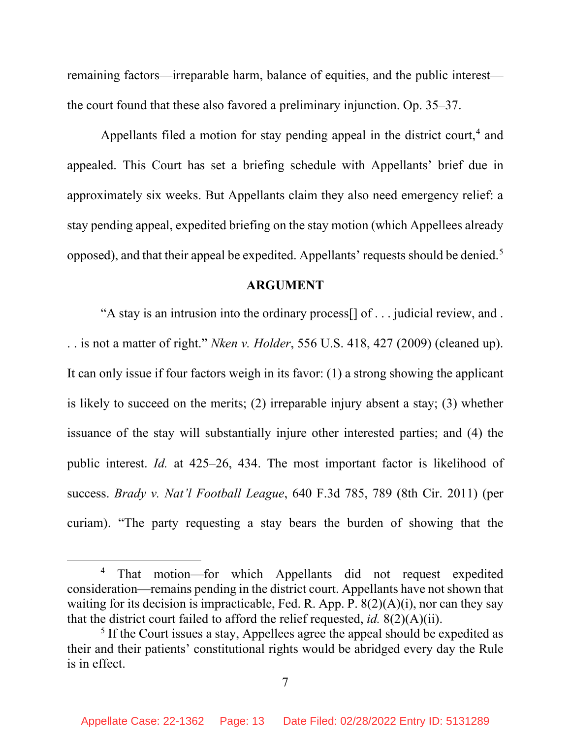remaining factors—irreparable harm, balance of equities, and the public interest the court found that these also favored a preliminary injunction. Op. 35–37.

Appellants filed a motion for stay pending appeal in the district court,<sup>[4](#page-12-0)</sup> and appealed. This Court has set a briefing schedule with Appellants' brief due in approximately six weeks. But Appellants claim they also need emergency relief: a stay pending appeal, expedited briefing on the stay motion (which Appellees already opposed), and that their appeal be expedited. Appellants' requests should be denied.[5](#page-12-1)

#### **ARGUMENT**

"A stay is an intrusion into the ordinary process[] of . . . judicial review, and . . . is not a matter of right." *Nken v. Holder*, 556 U.S. 418, 427 (2009) (cleaned up). It can only issue if four factors weigh in its favor: (1) a strong showing the applicant is likely to succeed on the merits; (2) irreparable injury absent a stay; (3) whether issuance of the stay will substantially injure other interested parties; and (4) the public interest. *Id.* at 425–26, 434. The most important factor is likelihood of success. *Brady v. Nat'l Football League*, 640 F.3d 785, 789 (8th Cir. 2011) (per curiam). "The party requesting a stay bears the burden of showing that the

<span id="page-12-0"></span><sup>4</sup> That motion—for which Appellants did not request expedited consideration—remains pending in the district court. Appellants have not shown that waiting for its decision is impracticable, Fed. R. App. P.  $8(2)(A)(i)$ , nor can they say that the district court failed to afford the relief requested, *id.* 8(2)(A)(ii).

<span id="page-12-1"></span><sup>&</sup>lt;sup>5</sup> If the Court issues a stay, Appellees agree the appeal should be expedited as their and their patients' constitutional rights would be abridged every day the Rule is in effect.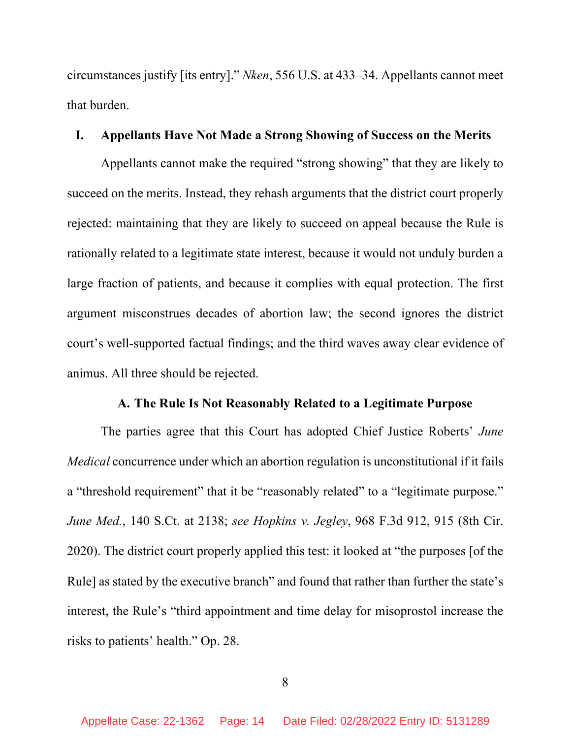circumstances justify [its entry]." *Nken*, 556 U.S. at 433–34. Appellants cannot meet that burden.

### **I. Appellants Have Not Made a Strong Showing of Success on the Merits**

Appellants cannot make the required "strong showing" that they are likely to succeed on the merits. Instead, they rehash arguments that the district court properly rejected: maintaining that they are likely to succeed on appeal because the Rule is rationally related to a legitimate state interest, because it would not unduly burden a large fraction of patients, and because it complies with equal protection. The first argument misconstrues decades of abortion law; the second ignores the district court's well-supported factual findings; and the third waves away clear evidence of animus. All three should be rejected.

## **A. The Rule Is Not Reasonably Related to a Legitimate Purpose**

The parties agree that this Court has adopted Chief Justice Roberts' *June Medical* concurrence under which an abortion regulation is unconstitutional if it fails a "threshold requirement" that it be "reasonably related" to a "legitimate purpose." *June Med.*, 140 S.Ct. at 2138; *see Hopkins v. Jegley*, 968 F.3d 912, 915 (8th Cir. 2020). The district court properly applied this test: it looked at "the purposes [of the Rule] as stated by the executive branch" and found that rather than further the state's interest, the Rule's "third appointment and time delay for misoprostol increase the risks to patients' health." Op. 28.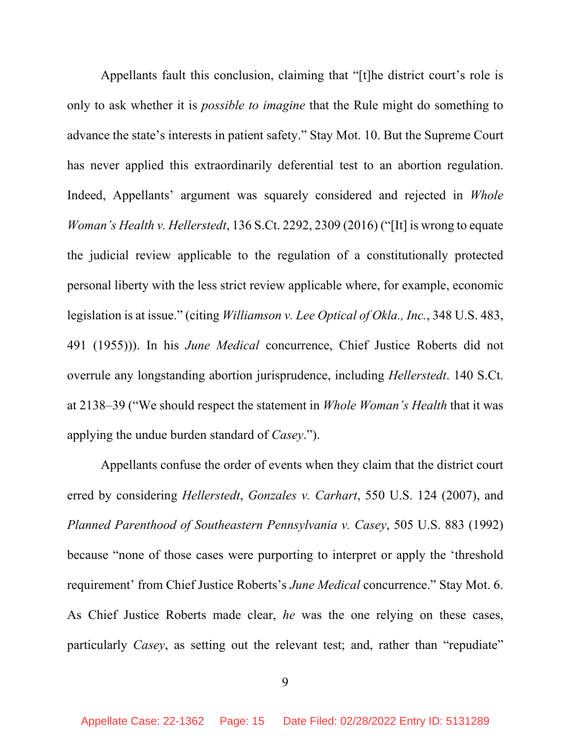Appellants fault this conclusion, claiming that "[t]he district court's role is only to ask whether it is *possible to imagine* that the Rule might do something to advance the state's interests in patient safety." Stay Mot. 10. But the Supreme Court has never applied this extraordinarily deferential test to an abortion regulation. Indeed, Appellants' argument was squarely considered and rejected in *Whole Woman's Health v. Hellerstedt*, 136 S.Ct. 2292, 2309 (2016) ("[It] is wrong to equate the judicial review applicable to the regulation of a constitutionally protected personal liberty with the less strict review applicable where, for example, economic legislation is at issue." (citing *Williamson v. Lee Optical of Okla., Inc.*, 348 U.S. 483, 491 (1955))). In his *June Medical* concurrence, Chief Justice Roberts did not overrule any longstanding abortion jurisprudence, including *Hellerstedt*. 140 S.Ct. at 2138–39 ("We should respect the statement in *Whole Woman's Health* that it was applying the undue burden standard of *Casey*.").

Appellants confuse the order of events when they claim that the district court erred by considering *Hellerstedt*, *Gonzales v. Carhart*, 550 U.S. 124 (2007), and *Planned Parenthood of Southeastern Pennsylvania v. Casey*, 505 U.S. 883 (1992) because "none of those cases were purporting to interpret or apply the 'threshold requirement' from Chief Justice Roberts's *June Medical* concurrence." Stay Mot. 6. As Chief Justice Roberts made clear, *he* was the one relying on these cases, particularly *Casey*, as setting out the relevant test; and, rather than "repudiate"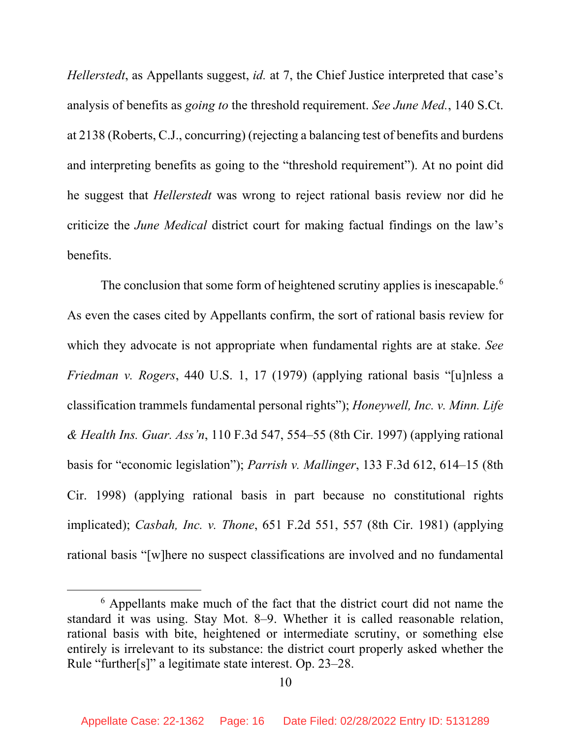*Hellerstedt*, as Appellants suggest, *id.* at 7, the Chief Justice interpreted that case's analysis of benefits as *going to* the threshold requirement. *See June Med.*, 140 S.Ct. at 2138 (Roberts, C.J., concurring) (rejecting a balancing test of benefits and burdens and interpreting benefits as going to the "threshold requirement"). At no point did he suggest that *Hellerstedt* was wrong to reject rational basis review nor did he criticize the *June Medical* district court for making factual findings on the law's benefits.

The conclusion that some form of heightened scrutiny applies is inescapable.<sup>[6](#page-15-0)</sup> As even the cases cited by Appellants confirm, the sort of rational basis review for which they advocate is not appropriate when fundamental rights are at stake. *See Friedman v. Rogers*, 440 U.S. 1, 17 (1979) (applying rational basis "[u]nless a classification trammels fundamental personal rights"); *Honeywell, Inc. v. Minn. Life & Health Ins. Guar. Ass'n*, 110 F.3d 547, 554–55 (8th Cir. 1997) (applying rational basis for "economic legislation"); *Parrish v. Mallinger*, 133 F.3d 612, 614–15 (8th Cir. 1998) (applying rational basis in part because no constitutional rights implicated); *Casbah, Inc. v. Thone*, 651 F.2d 551, 557 (8th Cir. 1981) (applying rational basis "[w]here no suspect classifications are involved and no fundamental

<span id="page-15-0"></span><sup>6</sup> Appellants make much of the fact that the district court did not name the standard it was using. Stay Mot. 8–9. Whether it is called reasonable relation, rational basis with bite, heightened or intermediate scrutiny, or something else entirely is irrelevant to its substance: the district court properly asked whether the Rule "further[s]" a legitimate state interest. Op. 23–28.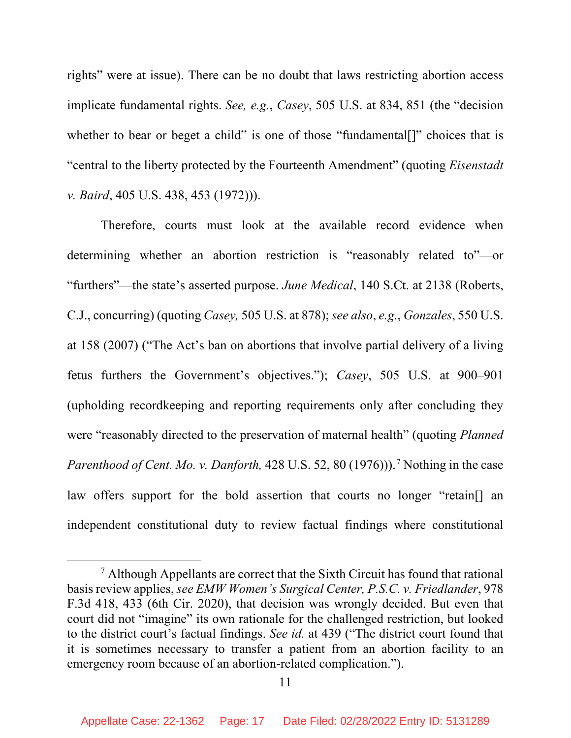rights" were at issue). There can be no doubt that laws restricting abortion access implicate fundamental rights. *See, e.g.*, *Casey*, 505 U.S. at 834, 851 (the "decision whether to bear or beget a child" is one of those "fundamental..." choices that is "central to the liberty protected by the Fourteenth Amendment" (quoting *Eisenstadt v. Baird*, 405 U.S. 438, 453 (1972))).

Therefore, courts must look at the available record evidence when determining whether an abortion restriction is "reasonably related to"—or "furthers"—the state's asserted purpose. *June Medical*, 140 S.Ct. at 2138 (Roberts, C.J., concurring) (quoting *Casey,* 505 U.S. at 878); *see also*, *e.g.*, *Gonzales*, 550 U.S. at 158 (2007) ("The Act's ban on abortions that involve partial delivery of a living fetus furthers the Government's objectives."); *Casey*, 505 U.S. at 900–901 (upholding recordkeeping and reporting requirements only after concluding they were "reasonably directed to the preservation of maternal health" (quoting *Planned Parenthood of Cent. Mo. v. Danforth,* 428 U.S. 52, 80 (19[7](#page-16-0)6)).<sup>7</sup> Nothing in the case law offers support for the bold assertion that courts no longer "retain[] an independent constitutional duty to review factual findings where constitutional

<span id="page-16-0"></span><sup>7</sup> Although Appellants are correct that the Sixth Circuit has found that rational basis review applies, *see EMW Women's Surgical Center, P.S.C. v. Friedlander*, 978 F.3d 418, 433 (6th Cir. 2020), that decision was wrongly decided. But even that court did not "imagine" its own rationale for the challenged restriction, but looked to the district court's factual findings. *See id.* at 439 ("The district court found that it is sometimes necessary to transfer a patient from an abortion facility to an emergency room because of an abortion-related complication.").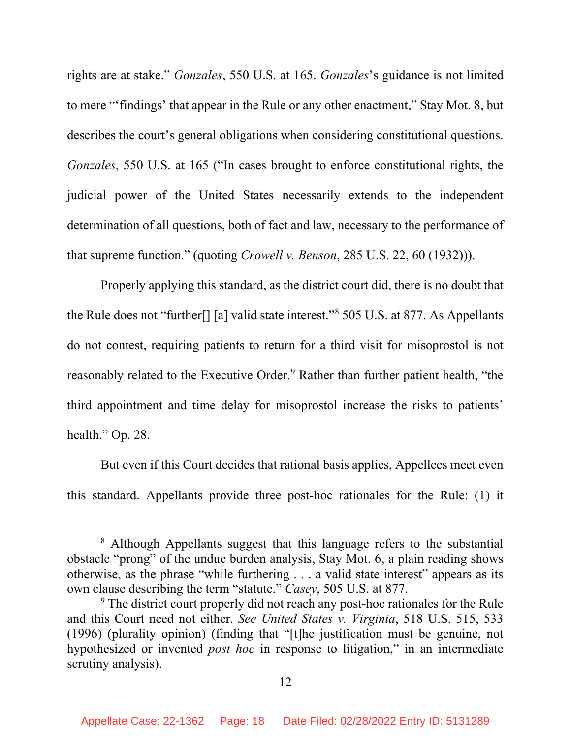rights are at stake." *Gonzales*, 550 U.S. at 165. *Gonzales*'s guidance is not limited to mere "'findings' that appear in the Rule or any other enactment," Stay Mot. 8, but describes the court's general obligations when considering constitutional questions. *Gonzales*, 550 U.S. at 165 ("In cases brought to enforce constitutional rights, the judicial power of the United States necessarily extends to the independent determination of all questions, both of fact and law, necessary to the performance of that supreme function." (quoting *Crowell v. Benson*, 285 U.S. 22, 60 (1932))).

Properly applying this standard, as the district court did, there is no doubt that the Rule does not "further[] [a] valid state interest."[8](#page-17-0) 505 U.S. at 877. As Appellants do not contest, requiring patients to return for a third visit for misoprostol is not reasonably related to the Executive Order.<sup>[9](#page-17-1)</sup> Rather than further patient health, "the third appointment and time delay for misoprostol increase the risks to patients' health." Op. 28.

But even if this Court decides that rational basis applies, Appellees meet even this standard. Appellants provide three post-hoc rationales for the Rule: (1) it

<span id="page-17-0"></span><sup>&</sup>lt;sup>8</sup> Although Appellants suggest that this language refers to the substantial obstacle "prong" of the undue burden analysis, Stay Mot. 6, a plain reading shows otherwise, as the phrase "while furthering . . . a valid state interest" appears as its own clause describing the term "statute." *Casey*, 505 U.S. at 877.

<span id="page-17-1"></span><sup>&</sup>lt;sup>9</sup> The district court properly did not reach any post-hoc rationales for the Rule and this Court need not either. *See United States v. Virginia*, 518 U.S. 515, 533 (1996) (plurality opinion) (finding that "[t]he justification must be genuine, not hypothesized or invented *post hoc* in response to litigation," in an intermediate scrutiny analysis).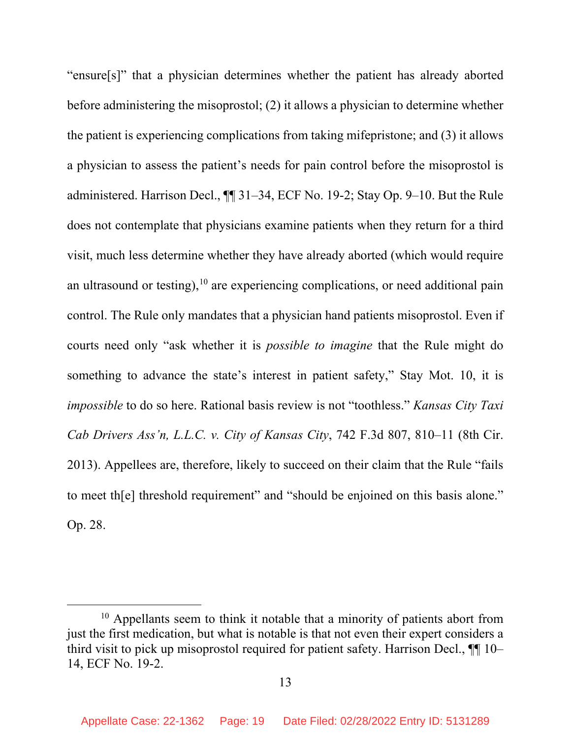"ensure[s]" that a physician determines whether the patient has already aborted before administering the misoprostol; (2) it allows a physician to determine whether the patient is experiencing complications from taking mifepristone; and (3) it allows a physician to assess the patient's needs for pain control before the misoprostol is administered. Harrison Decl., ¶¶ 31–34, ECF No. 19-2; Stay Op. 9–10. But the Rule does not contemplate that physicians examine patients when they return for a third visit, much less determine whether they have already aborted (which would require an ultrasound or testing),<sup>[10](#page-18-0)</sup> are experiencing complications, or need additional pain control. The Rule only mandates that a physician hand patients misoprostol. Even if courts need only "ask whether it is *possible to imagine* that the Rule might do something to advance the state's interest in patient safety," Stay Mot. 10, it is *impossible* to do so here. Rational basis review is not "toothless." *Kansas City Taxi Cab Drivers Ass'n, L.L.C. v. City of Kansas City*, 742 F.3d 807, 810–11 (8th Cir. 2013). Appellees are, therefore, likely to succeed on their claim that the Rule "fails to meet th[e] threshold requirement" and "should be enjoined on this basis alone." Op. 28.

<span id="page-18-0"></span> $10$  Appellants seem to think it notable that a minority of patients abort from just the first medication, but what is notable is that not even their expert considers a third visit to pick up misoprostol required for patient safety. Harrison Decl., ¶¶ 10– 14, ECF No. 19-2.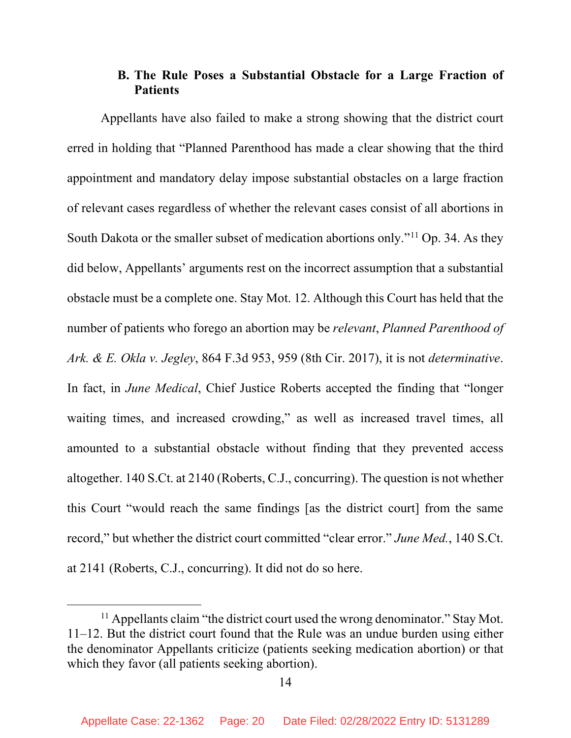# **B. The Rule Poses a Substantial Obstacle for a Large Fraction of Patients**

Appellants have also failed to make a strong showing that the district court erred in holding that "Planned Parenthood has made a clear showing that the third appointment and mandatory delay impose substantial obstacles on a large fraction of relevant cases regardless of whether the relevant cases consist of all abortions in South Dakota or the smaller subset of medication abortions only."[11](#page-19-0) Op. 34. As they did below, Appellants' arguments rest on the incorrect assumption that a substantial obstacle must be a complete one. Stay Mot. 12. Although this Court has held that the number of patients who forego an abortion may be *relevant*, *Planned Parenthood of Ark. & E. Okla v. Jegley*, 864 F.3d 953, 959 (8th Cir. 2017), it is not *determinative*. In fact, in *June Medical*, Chief Justice Roberts accepted the finding that "longer waiting times, and increased crowding," as well as increased travel times, all amounted to a substantial obstacle without finding that they prevented access altogether. 140 S.Ct. at 2140 (Roberts, C.J., concurring). The question is not whether this Court "would reach the same findings [as the district court] from the same record," but whether the district court committed "clear error." *June Med.*, 140 S.Ct. at 2141 (Roberts, C.J., concurring). It did not do so here.

<span id="page-19-0"></span><sup>&</sup>lt;sup>11</sup> Appellants claim "the district court used the wrong denominator." Stay Mot. 11–12. But the district court found that the Rule was an undue burden using either the denominator Appellants criticize (patients seeking medication abortion) or that which they favor (all patients seeking abortion).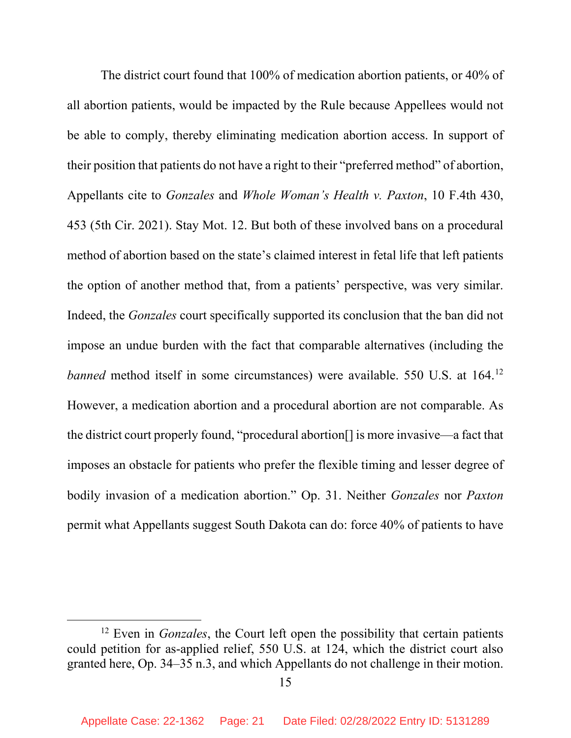The district court found that 100% of medication abortion patients, or 40% of all abortion patients, would be impacted by the Rule because Appellees would not be able to comply, thereby eliminating medication abortion access. In support of their position that patients do not have a right to their "preferred method" of abortion, Appellants cite to *Gonzales* and *Whole Woman's Health v. Paxton*, 10 F.4th 430, 453 (5th Cir. 2021). Stay Mot. 12. But both of these involved bans on a procedural method of abortion based on the state's claimed interest in fetal life that left patients the option of another method that, from a patients' perspective, was very similar. Indeed, the *Gonzales* court specifically supported its conclusion that the ban did not impose an undue burden with the fact that comparable alternatives (including the *banned* method itself in some circumstances) were available. 550 U.S. at 164.<sup>[12](#page-20-0)</sup> However, a medication abortion and a procedural abortion are not comparable. As the district court properly found, "procedural abortion[] is more invasive—a fact that imposes an obstacle for patients who prefer the flexible timing and lesser degree of bodily invasion of a medication abortion." Op. 31. Neither *Gonzales* nor *Paxton*  permit what Appellants suggest South Dakota can do: force 40% of patients to have

<span id="page-20-0"></span><sup>&</sup>lt;sup>12</sup> Even in *Gonzales*, the Court left open the possibility that certain patients could petition for as-applied relief, 550 U.S. at 124, which the district court also granted here, Op. 34–35 n.3, and which Appellants do not challenge in their motion.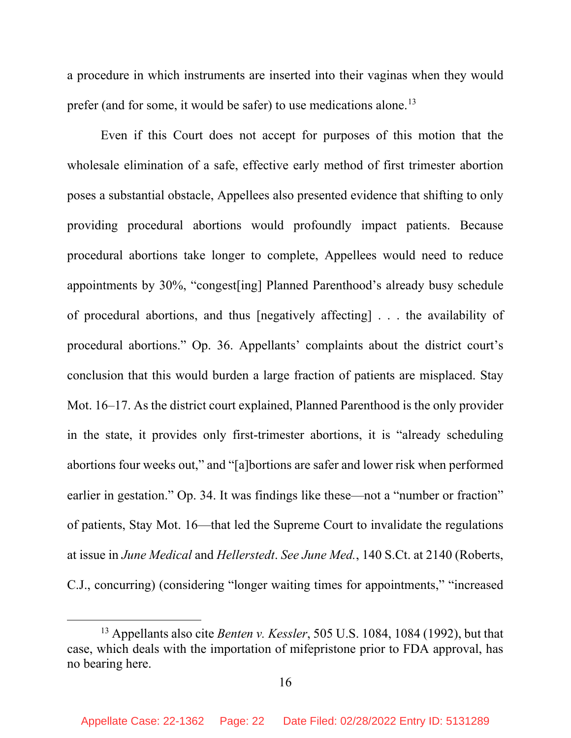a procedure in which instruments are inserted into their vaginas when they would prefer (and for some, it would be safer) to use medications alone.<sup>[13](#page-21-0)</sup>

Even if this Court does not accept for purposes of this motion that the wholesale elimination of a safe, effective early method of first trimester abortion poses a substantial obstacle, Appellees also presented evidence that shifting to only providing procedural abortions would profoundly impact patients. Because procedural abortions take longer to complete, Appellees would need to reduce appointments by 30%, "congest[ing] Planned Parenthood's already busy schedule of procedural abortions, and thus [negatively affecting] . . . the availability of procedural abortions." Op. 36. Appellants' complaints about the district court's conclusion that this would burden a large fraction of patients are misplaced. Stay Mot. 16–17. As the district court explained, Planned Parenthood is the only provider in the state, it provides only first-trimester abortions, it is "already scheduling abortions four weeks out," and "[a]bortions are safer and lower risk when performed earlier in gestation." Op. 34. It was findings like these—not a "number or fraction" of patients, Stay Mot. 16—that led the Supreme Court to invalidate the regulations at issue in *June Medical* and *Hellerstedt*. *See June Med.*, 140 S.Ct. at 2140 (Roberts, C.J., concurring) (considering "longer waiting times for appointments," "increased

<span id="page-21-0"></span><sup>13</sup> Appellants also cite *Benten v. Kessler*, 505 U.S. 1084, 1084 (1992), but that case, which deals with the importation of mifepristone prior to FDA approval, has no bearing here.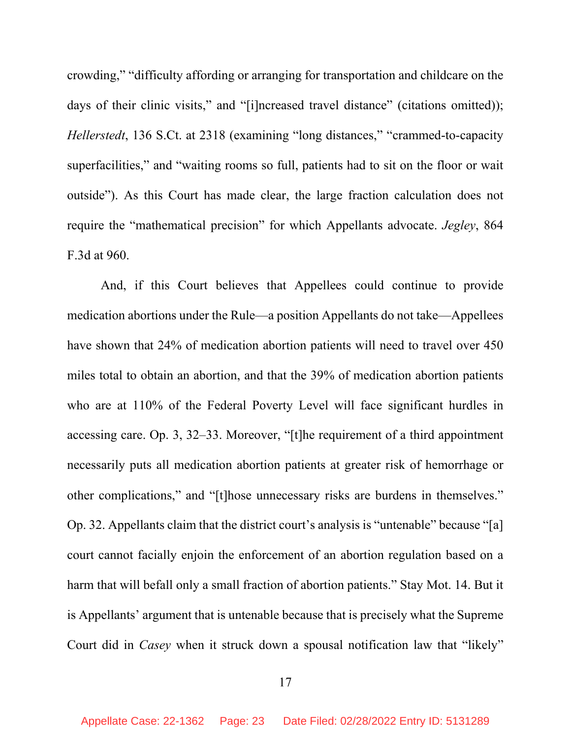crowding," "difficulty affording or arranging for transportation and childcare on the days of their clinic visits," and "[i]ncreased travel distance" (citations omitted)); *Hellerstedt*, 136 S.Ct. at 2318 (examining "long distances," "crammed-to-capacity superfacilities," and "waiting rooms so full, patients had to sit on the floor or wait outside"). As this Court has made clear, the large fraction calculation does not require the "mathematical precision" for which Appellants advocate. *Jegley*, 864 F.3d at 960.

And, if this Court believes that Appellees could continue to provide medication abortions under the Rule—a position Appellants do not take—Appellees have shown that 24% of medication abortion patients will need to travel over 450 miles total to obtain an abortion, and that the 39% of medication abortion patients who are at 110% of the Federal Poverty Level will face significant hurdles in accessing care. Op. 3, 32–33. Moreover, "[t]he requirement of a third appointment necessarily puts all medication abortion patients at greater risk of hemorrhage or other complications," and "[t]hose unnecessary risks are burdens in themselves." Op. 32. Appellants claim that the district court's analysis is "untenable" because "[a] court cannot facially enjoin the enforcement of an abortion regulation based on a harm that will befall only a small fraction of abortion patients." Stay Mot. 14. But it is Appellants' argument that is untenable because that is precisely what the Supreme Court did in *Casey* when it struck down a spousal notification law that "likely"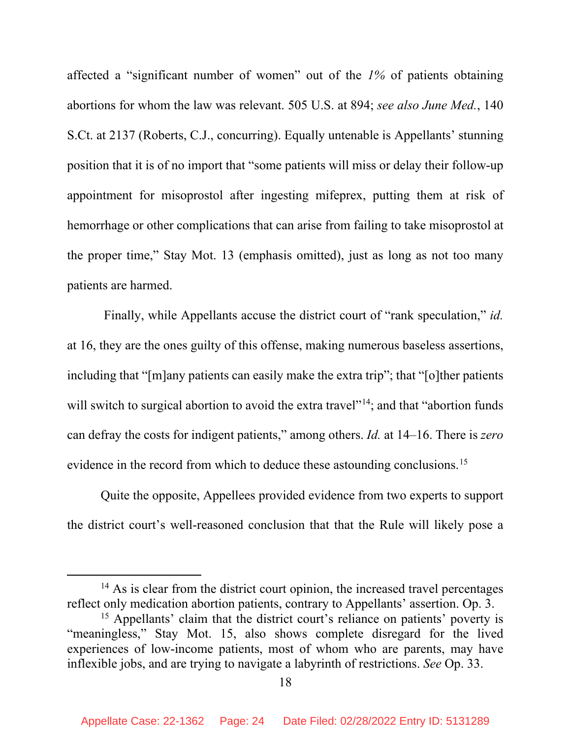affected a "significant number of women" out of the *1%* of patients obtaining abortions for whom the law was relevant. 505 U.S. at 894; *see also June Med.*, 140 S.Ct. at 2137 (Roberts, C.J., concurring). Equally untenable is Appellants' stunning position that it is of no import that "some patients will miss or delay their follow-up appointment for misoprostol after ingesting mifeprex, putting them at risk of hemorrhage or other complications that can arise from failing to take misoprostol at the proper time," Stay Mot. 13 (emphasis omitted), just as long as not too many patients are harmed.

Finally, while Appellants accuse the district court of "rank speculation," *id.* at 16, they are the ones guilty of this offense, making numerous baseless assertions, including that "[m]any patients can easily make the extra trip"; that "[o]ther patients will switch to surgical abortion to avoid the extra travel<sup> $1,14$  $1,14$ </sup>; and that "abortion funds" can defray the costs for indigent patients," among others. *Id.* at 14–16. There is *zero* evidence in the record from which to deduce these astounding conclusions.<sup>[15](#page-23-1)</sup>

Quite the opposite, Appellees provided evidence from two experts to support the district court's well-reasoned conclusion that that the Rule will likely pose a

<span id="page-23-0"></span> $14$  As is clear from the district court opinion, the increased travel percentages reflect only medication abortion patients, contrary to Appellants' assertion. Op. 3.

<span id="page-23-1"></span><sup>&</sup>lt;sup>15</sup> Appellants' claim that the district court's reliance on patients' poverty is "meaningless," Stay Mot. 15, also shows complete disregard for the lived experiences of low-income patients, most of whom who are parents, may have inflexible jobs, and are trying to navigate a labyrinth of restrictions. *See* Op. 33.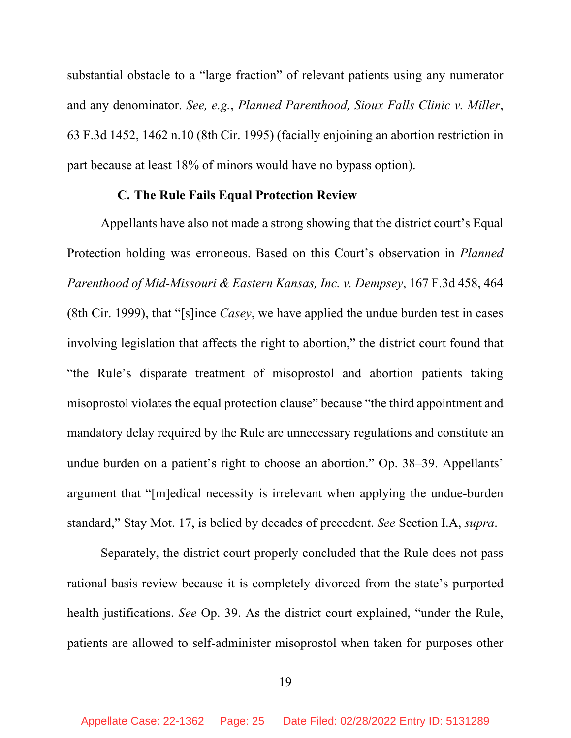substantial obstacle to a "large fraction" of relevant patients using any numerator and any denominator. *See, e.g.*, *Planned Parenthood, Sioux Falls Clinic v. Miller*, 63 F.3d 1452, 1462 n.10 (8th Cir. 1995) (facially enjoining an abortion restriction in part because at least 18% of minors would have no bypass option).

#### **C. The Rule Fails Equal Protection Review**

Appellants have also not made a strong showing that the district court's Equal Protection holding was erroneous. Based on this Court's observation in *Planned Parenthood of Mid-Missouri & Eastern Kansas, Inc. v. Dempsey*, 167 F.3d 458, 464 (8th Cir. 1999), that "[s]ince *Casey*, we have applied the undue burden test in cases involving legislation that affects the right to abortion," the district court found that "the Rule's disparate treatment of misoprostol and abortion patients taking misoprostol violates the equal protection clause" because "the third appointment and mandatory delay required by the Rule are unnecessary regulations and constitute an undue burden on a patient's right to choose an abortion." Op. 38–39. Appellants' argument that "[m]edical necessity is irrelevant when applying the undue-burden standard," Stay Mot. 17, is belied by decades of precedent. *See* Section I.A, *supra*.

Separately, the district court properly concluded that the Rule does not pass rational basis review because it is completely divorced from the state's purported health justifications. *See* Op. 39. As the district court explained, "under the Rule, patients are allowed to self-administer misoprostol when taken for purposes other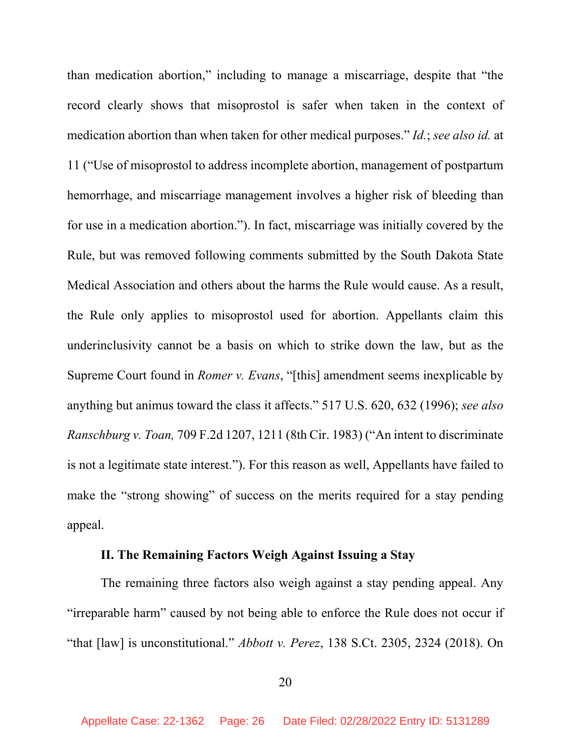than medication abortion," including to manage a miscarriage, despite that "the record clearly shows that misoprostol is safer when taken in the context of medication abortion than when taken for other medical purposes." *Id.*; *see also id.* at 11 ("Use of misoprostol to address incomplete abortion, management of postpartum hemorrhage, and miscarriage management involves a higher risk of bleeding than for use in a medication abortion."). In fact, miscarriage was initially covered by the Rule, but was removed following comments submitted by the South Dakota State Medical Association and others about the harms the Rule would cause. As a result, the Rule only applies to misoprostol used for abortion. Appellants claim this underinclusivity cannot be a basis on which to strike down the law, but as the Supreme Court found in *Romer v. Evans*, "[this] amendment seems inexplicable by anything but animus toward the class it affects." 517 U.S. 620, 632 (1996); *see also Ranschburg v. Toan,* 709 F.2d 1207, 1211 (8th Cir. 1983) ("An intent to discriminate is not a legitimate state interest."). For this reason as well, Appellants have failed to make the "strong showing" of success on the merits required for a stay pending appeal.

# **II. The Remaining Factors Weigh Against Issuing a Stay**

The remaining three factors also weigh against a stay pending appeal. Any "irreparable harm" caused by not being able to enforce the Rule does not occur if "that [law] is unconstitutional." *Abbott v. Perez*, 138 S.Ct. 2305, 2324 (2018). On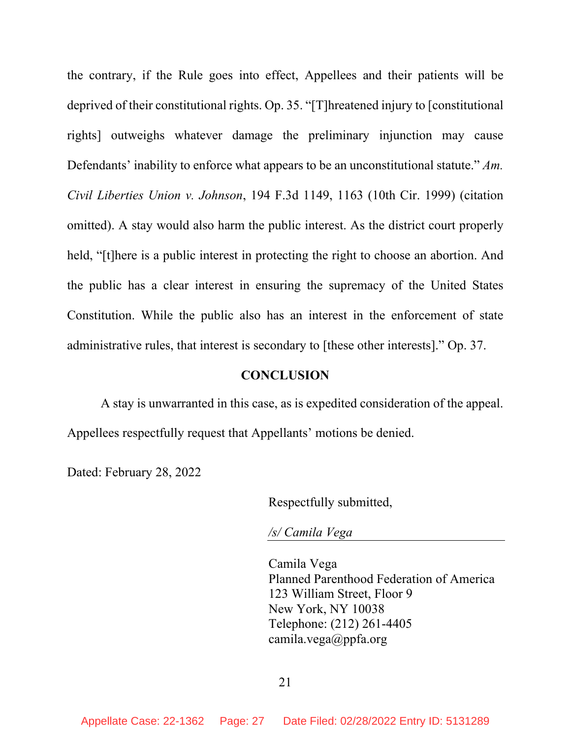the contrary, if the Rule goes into effect, Appellees and their patients will be deprived of their constitutional rights. Op. 35. "[T]hreatened injury to [constitutional rights] outweighs whatever damage the preliminary injunction may cause Defendants' inability to enforce what appears to be an unconstitutional statute." *Am. Civil Liberties Union v. Johnson*, 194 F.3d 1149, 1163 (10th Cir. 1999) (citation omitted). A stay would also harm the public interest. As the district court properly held, "[t]here is a public interest in protecting the right to choose an abortion. And the public has a clear interest in ensuring the supremacy of the United States Constitution. While the public also has an interest in the enforcement of state administrative rules, that interest is secondary to [these other interests]." Op. 37.

#### **CONCLUSION**

A stay is unwarranted in this case, as is expedited consideration of the appeal. Appellees respectfully request that Appellants' motions be denied.

Dated: February 28, 2022

Respectfully submitted,

*/s/ Camila Vega* 

Camila Vega Planned Parenthood Federation of America 123 William Street, Floor 9 New York, NY 10038 Telephone: (212) 261-4405 camila.vega@ppfa.org

21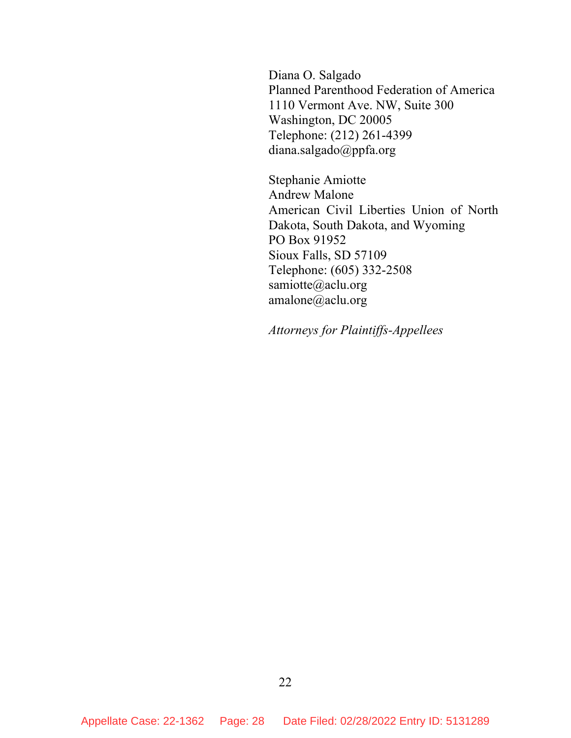Diana O. Salgado Planned Parenthood Federation of America 1110 Vermont Ave. NW, Suite 300 Washington, DC 20005 Telephone: (212) 261-4399 diana.salgado@ppfa.org

Stephanie Amiotte Andrew Malone American Civil Liberties Union of North Dakota, South Dakota, and Wyoming PO Box 91952 Sioux Falls, SD 57109 Telephone: (605) 332-2508 samiotte@aclu.org amalone@aclu.org

*Attorneys for Plaintiffs-Appellees*

22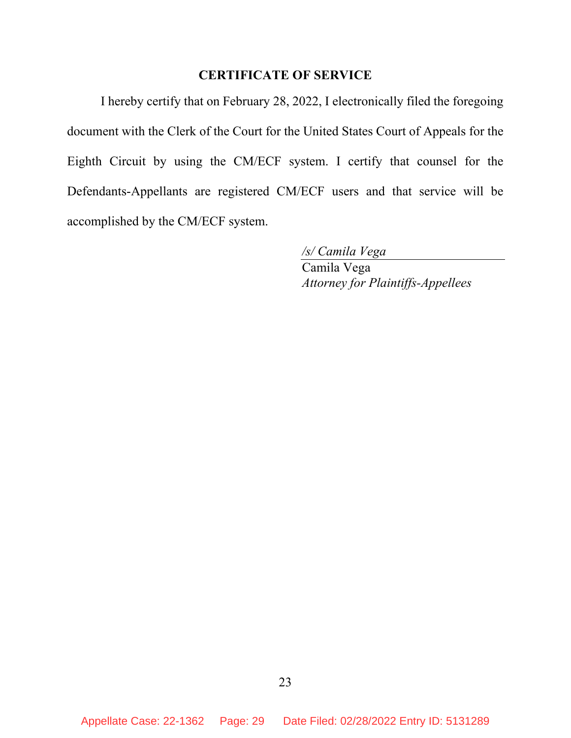# **CERTIFICATE OF SERVICE**

I hereby certify that on February 28, 2022, I electronically filed the foregoing document with the Clerk of the Court for the United States Court of Appeals for the Eighth Circuit by using the CM/ECF system. I certify that counsel for the Defendants-Appellants are registered CM/ECF users and that service will be accomplished by the CM/ECF system.

*/s/ Camila Vega*

Camila Vega *Attorney for Plaintiffs-Appellees*